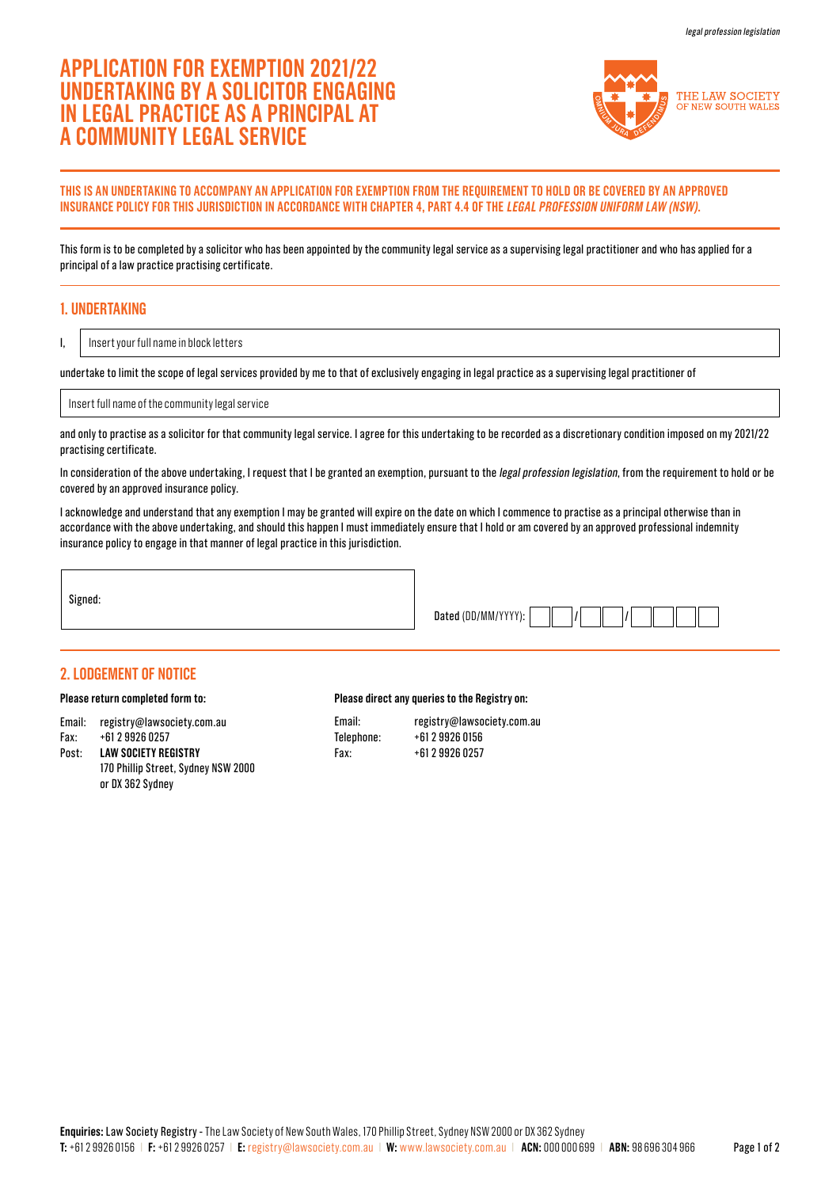# **APPLICATION FOR EXEMPTION 2021/22 UNDERTAKING BY A SOLICITOR ENGAGING IN LEGAL PRACTICE AS A PRINCIPAL AT A COMMUNITY LEGAL SERVICE**



### **THIS IS AN UNDERTAKING TO ACCOMPANY AN APPLICATION FOR EXEMPTION FROM THE REQUIREMENT TO HOLD OR BE COVERED BY AN APPROVED INSURANCE POLICY FOR THIS JURISDICTION IN ACCORDANCE WITH CHAPTER 4, PART 4.4 OF THE LEGAL PROFESSION UNIFORM LAW (NSW).**

This form is to be completed by a solicitor who has been appointed by the community legal service as a supervising legal practitioner and who has applied for a principal of a law practice practising certificate.

# **1. UNDERTAKING**

I,

Insert your full name in block letters

undertake to limit the scope of legal services provided by me to that of exclusively engaging in legal practice as a supervising legal practitioner of

Insert full name of the community legal service

and only to practise as a solicitor for that community legal service. I agree for this undertaking to be recorded as a discretionary condition imposed on my 2021/22 practising certificate.

In consideration of the above undertaking, I request that I be granted an exemption, pursuant to the legal profession legislation, from the requirement to hold or be covered by an approved insurance policy.

I acknowledge and understand that any exemption I may be granted will expire on the date on which I commence to practise as a principal otherwise than in accordance with the above undertaking, and should this happen I must immediately ensure that I hold or am covered by an approved professional indemnity insurance policy to engage in that manner of legal practice in this jurisdiction.

Signed:

| Dated (DD/MM/YYYY |  |  |  |  |
|-------------------|--|--|--|--|
|                   |  |  |  |  |

## **2. LODGEMENT OF NOTICE**

#### **Please return completed form to:**

- Email: registry@lawsociety.com.au Fax: +61 2 9926 0257
- Post: **LAW SOCIETY REGISTRY**  170 Phillip Street, Sydney NSW 2000 or DX 362 Sydney

#### **Please direct any queries to the Registry on:**

Email: registry@lawsociety.com.au Telephone: +61 2 9926 0156 Fax: +61 2 9926 0257